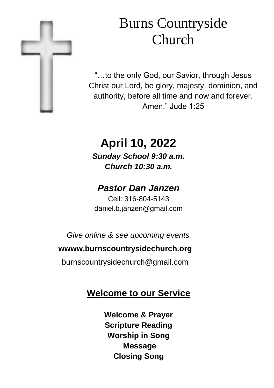

# Burns Countryside Church

"…to the only God, our Savior, through Jesus Christ our Lord, be glory, majesty, dominion, and authority, before all time and now and forever. Amen." Jude 1:25

# **April 10, 2022** *Sunday School 9:30 a.m. Church 10:30 a.m.*

# *Pastor Dan Janzen*

Cell: 316-804-5143 daniel.b.janzen@gmail.com

*Give online & see upcoming events*

#### **wwww.burnscountrysidechurch.org**

burnscountrysidechurch@gmail.com

# **Welcome to our Service**

**Welcome & Prayer Scripture Reading Worship in Song Message Closing Song**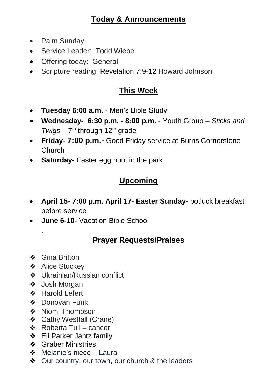### **Today & Announcements**

- Palm Sundav
- Service Leader: Todd Wiebe
- Offering today: General
- Scripture reading: Revelation 7:9-12 Howard Johnson

## **This Week**

- **Tuesday 6:00 a.m.**  Men's Bible Study
- **Wednesday- 6:30 p.m. - 8:00 p.m.**  Youth Group *Sticks and*  Twigs - 7<sup>th</sup> through 12<sup>th</sup> grade
- **Friday- 7:00 p.m.-** Good Friday service at Burns Cornerstone Church
- **Saturday-** Easter egg hunt in the park

## **Upcoming**

- **April 15- 7:00 p.m. April 17- Easter Sunday-** potluck breakfast before service
- **June 6-10-** Vacation Bible School

## **Prayer Requests/Praises**

❖ Gina Britton

.

- ❖ Alice Stuckey
- ❖ Ukrainian/Russian conflict
- ❖ Josh Morgan
- ❖ Harold Lefert
- ❖ Donovan Funk
- ❖ Niomi Thompson
- ❖ Cathy Westfall (Crane)
- ❖ Roberta Tull cancer
- ❖ Eli Parker Jantz family
- ❖ Graber Ministries
- ❖ Melanie's niece Laura
- ❖ Our country, our town, our church & the leaders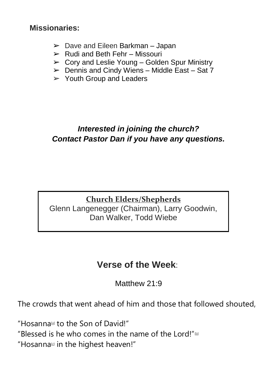**Missionaries:**

- $\blacktriangleright$  Dave and Eileen Barkman Japan
- $\triangleright$  Rudi and Beth Fehr Missouri
- $\geq$  Corv and Leslie Young Golden Spur Ministry
- $\triangleright$  Dennis and Cindy Wiens Middle East Sat 7
- $\triangleright$  Youth Group and Leaders

## *Interested in joining the church? Contact Pastor Dan if you have any questions.*

#### **Church Elders/Shepherds** Glenn Langenegger (Chairman), Larry Goodwin, Dan Walker, Todd Wiebe

## **Verse of the Week**:

Matthew 21:9

The crowds that went ahead of him and those that followed shouted,

"Hosanna[\[a\]](https://www.biblegateway.com/passage/?search=Matthew%2021%3A9&version=NIV#fen-NIV-23836a) to the Son of David!" "Blessed is he who comes in the name of the Lord!" $\omega$ "Hosanna $\omega$  in the highest heaven!"